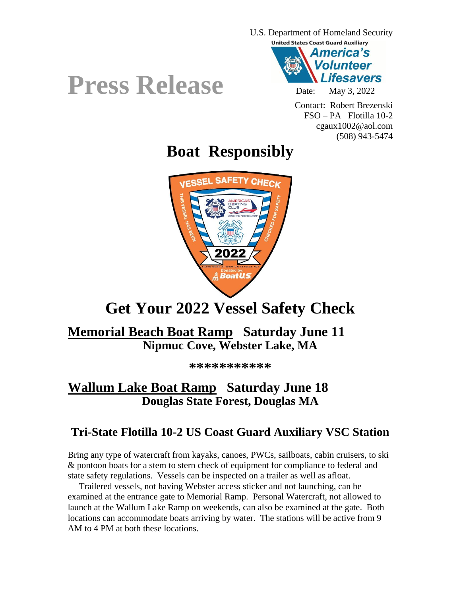

Contact: Robert Brezenski FSO – PA Flotilla 10-2 cgaux1002@aol.com (508) 943-5474

# **Boat Responsibly**



### **Get Your 2022 Vessel Safety Check**

#### **Memorial Beach Boat Ramp Saturday June 11 Nipmuc Cove, Webster Lake, MA**

**\*\*\*\*\*\*\*\*\*\*\***

#### **Wallum Lake Boat Ramp Saturday June 18 Douglas State Forest, Douglas MA**

#### **Tri-State Flotilla 10-2 US Coast Guard Auxiliary VSC Station**

Bring any type of watercraft from kayaks, canoes, PWCs, sailboats, cabin cruisers, to ski & pontoon boats for a stem to stern check of equipment for compliance to federal and state safety regulations. Vessels can be inspected on a trailer as well as afloat.

 Trailered vessels, not having Webster access sticker and not launching, can be examined at the entrance gate to Memorial Ramp. Personal Watercraft, not allowed to launch at the Wallum Lake Ramp on weekends, can also be examined at the gate. Both locations can accommodate boats arriving by water. The stations will be active from 9 AM to 4 PM at both these locations.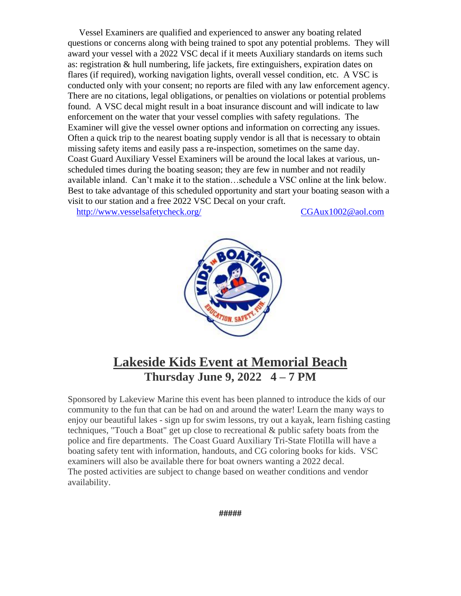Vessel Examiners are qualified and experienced to answer any boating related questions or concerns along with being trained to spot any potential problems. They will award your vessel with a 2022 VSC decal if it meets Auxiliary standards on items such as: registration & hull numbering, life jackets, fire extinguishers, expiration dates on flares (if required), working navigation lights, overall vessel condition, etc. A VSC is conducted only with your consent; no reports are filed with any law enforcement agency. There are no citations, legal obligations, or penalties on violations or potential problems found. A VSC decal might result in a boat insurance discount and will indicate to law enforcement on the water that your vessel complies with safety regulations. The Examiner will give the vessel owner options and information on correcting any issues. Often a quick trip to the nearest boating supply vendor is all that is necessary to obtain missing safety items and easily pass a re-inspection, sometimes on the same day. Coast Guard Auxiliary Vessel Examiners will be around the local lakes at various, unscheduled times during the boating season; they are few in number and not readily available inland. Can't make it to the station…schedule a VSC online at the link below. Best to take advantage of this scheduled opportunity and start your boating season with a visit to our station and a free 2022 VSC Decal on your craft.

<http://www.vesselsafetycheck.org/>[CGAux1002@aol.com](mailto:CGAux1002@aol.com)



#### **Lakeside Kids Event at Memorial Beach Thursday June 9, 2022 4 – 7 PM**

Sponsored by Lakeview Marine this event has been planned to introduce the kids of our community to the fun that can be had on and around the water! Learn the many ways to enjoy our beautiful lakes - sign up for swim lessons, try out a kayak, learn fishing casting techniques, "Touch a Boat" get up close to recreational & public safety boats from the police and fire departments. The Coast Guard Auxiliary Tri-State Flotilla will have a boating safety tent with information, handouts, and CG coloring books for kids. VSC examiners will also be available there for boat owners wanting a 2022 decal. The posted activities are subject to change based on weather conditions and vendor availability.

**#####**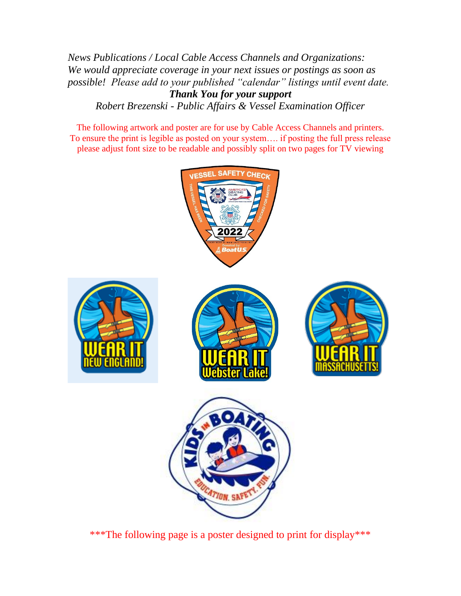*News Publications / Local Cable Access Channels and Organizations: We would appreciate coverage in your next issues or postings as soon as possible! Please add to your published "calendar" listings until event date. Thank You for your support Robert Brezenski - Public Affairs & Vessel Examination Officer*

The following artwork and poster are for use by Cable Access Channels and printers. To ensure the print is legible as posted on your system…. if posting the full press release please adjust font size to be readable and possibly split on two pages for TV viewing



\*\*\*The following page is a poster designed to print for display\*\*\*